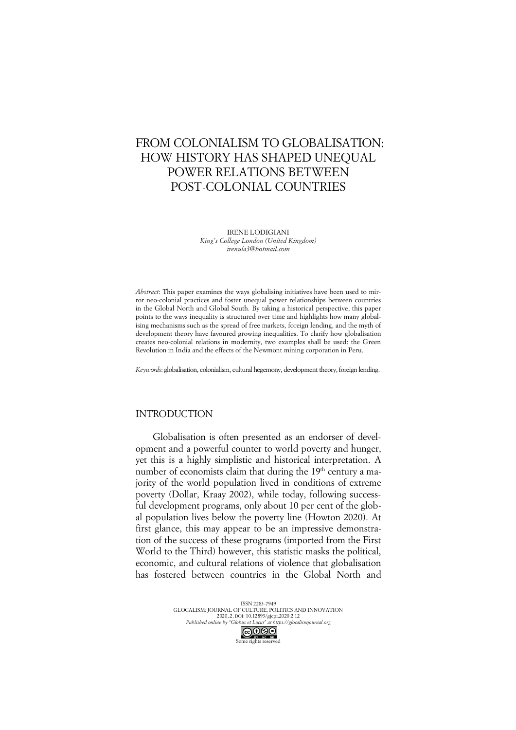# FROM COLONIALISM TO GLOBALISATION: HOW HISTORY HAS SHAPED UNEQUAL POWER RELATIONS BETWEEN POST-COLONIAL COUNTRIES

IRENE LODIGIANI *King's College London (United Kingdom) irenula3@hotmail.com*

*Abstract*: This paper examines the ways globalising initiatives have been used to mirror neo-colonial practices and foster unequal power relationships between countries in the Global North and Global South. By taking a historical perspective, this paper points to the ways inequality is structured over time and highlights how many globalising mechanisms such as the spread of free markets, foreign lending, and the myth of development theory have favoured growing inequalities. To clarify how globalisation creates neo-colonial relations in modernity, two examples shall be used: the Green Revolution in India and the effects of the Newmont mining corporation in Peru.

*Keywords*: globalisation, colonialism, cultural hegemony, development theory, foreign lending.

## INTRODUCTION

Globalisation is often presented as an endorser of development and a powerful counter to world poverty and hunger, yet this is a highly simplistic and historical interpretation. A number of economists claim that during the 19<sup>th</sup> century a majority of the world population lived in conditions of extreme poverty (Dollar, Kraay 2002), while today, following successful development programs, only about 10 per cent of the global population lives below the poverty line (Howton 2020). At first glance, this may appear to be an impressive demonstration of the success of these programs (imported from the First World to the Third) however, this statistic masks the political, economic, and cultural relations of violence that globalisation has fostered between countries in the Global North and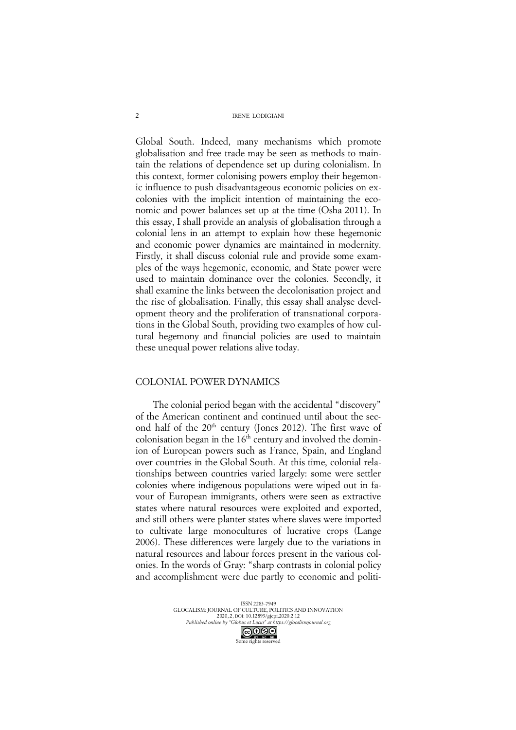Global South. Indeed, many mechanisms which promote globalisation and free trade may be seen as methods to maintain the relations of dependence set up during colonialism. In this context, former colonising powers employ their hegemonic influence to push disadvantageous economic policies on excolonies with the implicit intention of maintaining the economic and power balances set up at the time (Osha 2011). In this essay, I shall provide an analysis of globalisation through a colonial lens in an attempt to explain how these hegemonic and economic power dynamics are maintained in modernity. Firstly, it shall discuss colonial rule and provide some examples of the ways hegemonic, economic, and State power were used to maintain dominance over the colonies. Secondly, it shall examine the links between the decolonisation project and the rise of globalisation. Finally, this essay shall analyse development theory and the proliferation of transnational corporations in the Global South, providing two examples of how cultural hegemony and financial policies are used to maintain these unequal power relations alive today.

#### COLONIAL POWER DYNAMICS

The colonial period began with the accidental "discovery" of the American continent and continued until about the second half of the 20<sup>th</sup> century (Jones 2012). The first wave of colonisation began in the  $16<sup>th</sup>$  century and involved the dominion of European powers such as France, Spain, and England over countries in the Global South. At this time, colonial relationships between countries varied largely: some were settler colonies where indigenous populations were wiped out in favour of European immigrants, others were seen as extractive states where natural resources were exploited and exported, and still others were planter states where slaves were imported to cultivate large monocultures of lucrative crops (Lange 2006). These differences were largely due to the variations in natural resources and labour forces present in the various colonies. In the words of Gray: "sharp contrasts in colonial policy and accomplishment were due partly to economic and politi-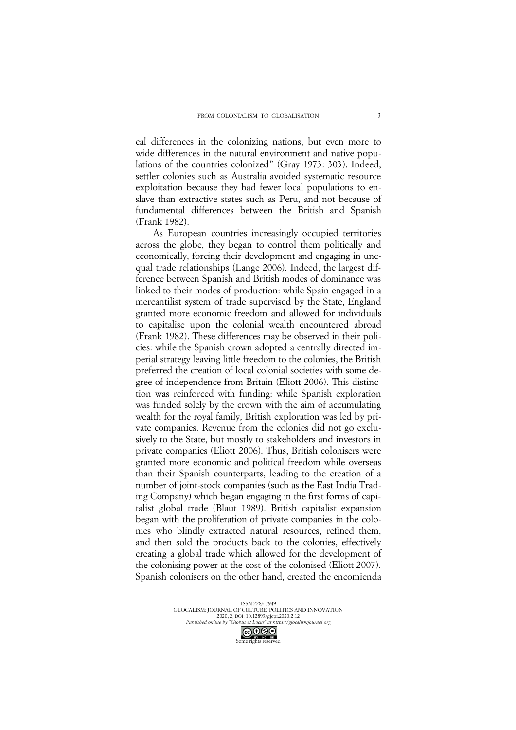cal differences in the colonizing nations, but even more to wide differences in the natural environment and native populations of the countries colonized" (Gray 1973: 303). Indeed, settler colonies such as Australia avoided systematic resource exploitation because they had fewer local populations to enslave than extractive states such as Peru, and not because of fundamental differences between the British and Spanish (Frank 1982).

As European countries increasingly occupied territories across the globe, they began to control them politically and economically, forcing their development and engaging in unequal trade relationships (Lange 2006). Indeed, the largest difference between Spanish and British modes of dominance was linked to their modes of production: while Spain engaged in a mercantilist system of trade supervised by the State, England granted more economic freedom and allowed for individuals to capitalise upon the colonial wealth encountered abroad (Frank 1982). These differences may be observed in their policies: while the Spanish crown adopted a centrally directed imperial strategy leaving little freedom to the colonies, the British preferred the creation of local colonial societies with some degree of independence from Britain (Eliott 2006). This distinction was reinforced with funding: while Spanish exploration was funded solely by the crown with the aim of accumulating wealth for the royal family, British exploration was led by private companies. Revenue from the colonies did not go exclusively to the State, but mostly to stakeholders and investors in private companies (Eliott 2006). Thus, British colonisers were granted more economic and political freedom while overseas than their Spanish counterparts, leading to the creation of a number of joint-stock companies (such as the East India Trading Company) which began engaging in the first forms of capitalist global trade (Blaut 1989). British capitalist expansion began with the proliferation of private companies in the colonies who blindly extracted natural resources, refined them, and then sold the products back to the colonies, effectively creating a global trade which allowed for the development of the colonising power at the cost of the colonised (Eliott 2007). Spanish colonisers on the other hand, created the encomienda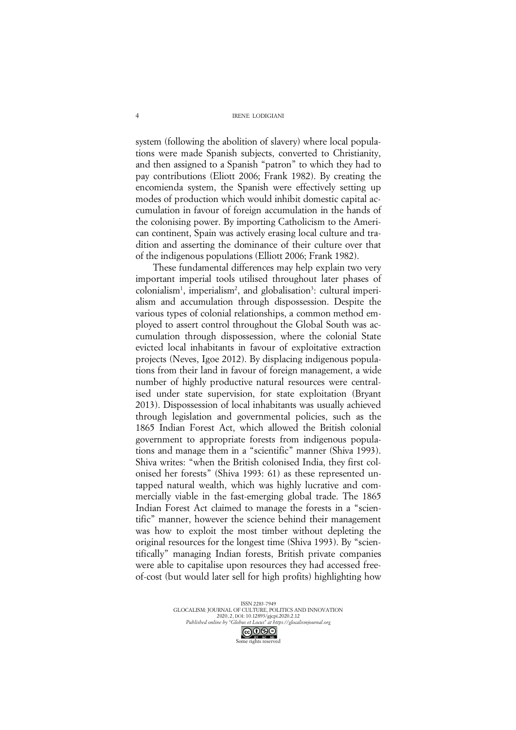system (following the abolition of slavery) where local populations were made Spanish subjects, converted to Christianity, and then assigned to a Spanish "patron" to which they had to pay contributions (Eliott 2006; Frank 1982). By creating the encomienda system, the Spanish were effectively setting up modes of production which would inhibit domestic capital accumulation in favour of foreign accumulation in the hands of the colonising power. By importing Catholicism to the American continent, Spain was actively erasing local culture and tradition and asserting the dominance of their culture over that of the indigenous populations (Elliott 2006; Frank 1982).

These fundamental differences may help explain two very important imperial tools utilised throughout later phases of colonialism<sup>1</sup>, imperialism<sup>2</sup>, and globalisation<sup>3</sup>: cultural imperialism and accumulation through dispossession. Despite the various types of colonial relationships, a common method employed to assert control throughout the Global South was accumulation through dispossession, where the colonial State evicted local inhabitants in favour of exploitative extraction projects (Neves, Igoe 2012). By displacing indigenous populations from their land in favour of foreign management, a wide number of highly productive natural resources were centralised under state supervision, for state exploitation (Bryant 2013). Dispossession of local inhabitants was usually achieved through legislation and governmental policies, such as the 1865 Indian Forest Act, which allowed the British colonial government to appropriate forests from indigenous populations and manage them in a "scientific" manner (Shiva 1993). Shiva writes: "when the British colonised India, they first colonised her forests" (Shiva 1993: 61) as these represented untapped natural wealth, which was highly lucrative and commercially viable in the fast-emerging global trade. The 1865 Indian Forest Act claimed to manage the forests in a "scientific" manner, however the science behind their management was how to exploit the most timber without depleting the original resources for the longest time (Shiva 1993). By "scientifically" managing Indian forests, British private companies were able to capitalise upon resources they had accessed freeof-cost (but would later sell for high profits) highlighting how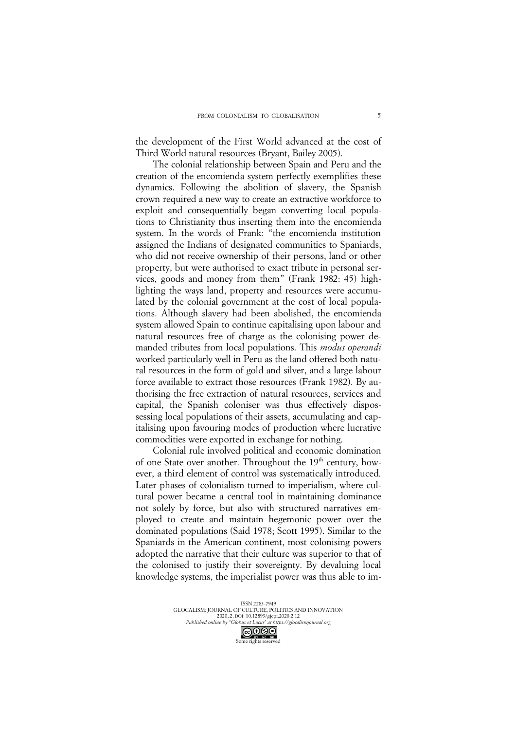the development of the First World advanced at the cost of Third World natural resources (Bryant, Bailey 2005).

The colonial relationship between Spain and Peru and the creation of the encomienda system perfectly exemplifies these dynamics. Following the abolition of slavery, the Spanish crown required a new way to create an extractive workforce to exploit and consequentially began converting local populations to Christianity thus inserting them into the encomienda system. In the words of Frank: "the encomienda institution assigned the Indians of designated communities to Spaniards, who did not receive ownership of their persons, land or other property, but were authorised to exact tribute in personal services, goods and money from them" (Frank 1982: 45) highlighting the ways land, property and resources were accumulated by the colonial government at the cost of local populations. Although slavery had been abolished, the encomienda system allowed Spain to continue capitalising upon labour and natural resources free of charge as the colonising power demanded tributes from local populations. This *modus operandi* worked particularly well in Peru as the land offered both natural resources in the form of gold and silver, and a large labour force available to extract those resources (Frank 1982). By authorising the free extraction of natural resources, services and capital, the Spanish coloniser was thus effectively dispossessing local populations of their assets, accumulating and capitalising upon favouring modes of production where lucrative commodities were exported in exchange for nothing.

Colonial rule involved political and economic domination of one State over another. Throughout the 19<sup>th</sup> century, however, a third element of control was systematically introduced. Later phases of colonialism turned to imperialism, where cultural power became a central tool in maintaining dominance not solely by force, but also with structured narratives employed to create and maintain hegemonic power over the dominated populations (Said 1978; Scott 1995). Similar to the Spaniards in the American continent, most colonising powers adopted the narrative that their culture was superior to that of the colonised to justify their sovereignty. By devaluing local knowledge systems, the imperialist power was thus able to im-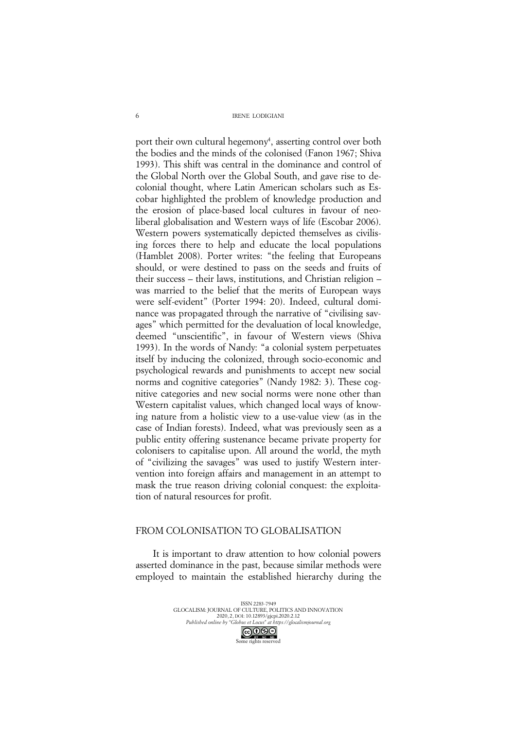port their own cultural hegemony<sup>4</sup>, asserting control over both the bodies and the minds of the colonised (Fanon 1967; Shiva 1993). This shift was central in the dominance and control of the Global North over the Global South, and gave rise to decolonial thought, where Latin American scholars such as Escobar highlighted the problem of knowledge production and the erosion of place-based local cultures in favour of neoliberal globalisation and Western ways of life (Escobar 2006). Western powers systematically depicted themselves as civilising forces there to help and educate the local populations (Hamblet 2008). Porter writes: "the feeling that Europeans should, or were destined to pass on the seeds and fruits of their success – their laws, institutions, and Christian religion – was married to the belief that the merits of European ways were self-evident" (Porter 1994: 20). Indeed, cultural dominance was propagated through the narrative of "civilising savages" which permitted for the devaluation of local knowledge, deemed "unscientific", in favour of Western views (Shiva 1993). In the words of Nandy: "a colonial system perpetuates itself by inducing the colonized, through socio-economic and psychological rewards and punishments to accept new social norms and cognitive categories" (Nandy 1982: 3). These cognitive categories and new social norms were none other than Western capitalist values, which changed local ways of knowing nature from a holistic view to a use-value view (as in the case of Indian forests). Indeed, what was previously seen as a public entity offering sustenance became private property for colonisers to capitalise upon. All around the world, the myth of "civilizing the savages" was used to justify Western intervention into foreign affairs and management in an attempt to mask the true reason driving colonial conquest: the exploitation of natural resources for profit.

## FROM COLONISATION TO GLOBALISATION

It is important to draw attention to how colonial powers asserted dominance in the past, because similar methods were employed to maintain the established hierarchy during the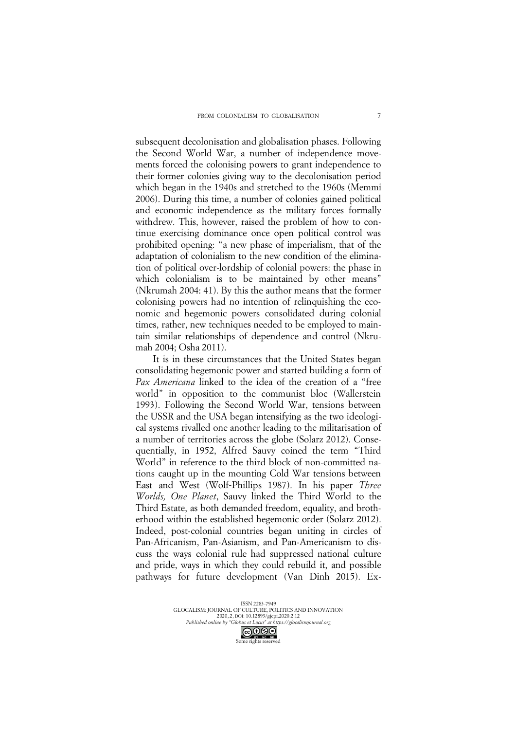subsequent decolonisation and globalisation phases. Following the Second World War, a number of independence movements forced the colonising powers to grant independence to their former colonies giving way to the decolonisation period which began in the 1940s and stretched to the 1960s (Memmi 2006). During this time, a number of colonies gained political and economic independence as the military forces formally withdrew. This, however, raised the problem of how to continue exercising dominance once open political control was prohibited opening: "a new phase of imperialism, that of the adaptation of colonialism to the new condition of the elimination of political over-lordship of colonial powers: the phase in which colonialism is to be maintained by other means" (Nkrumah 2004: 41). By this the author means that the former colonising powers had no intention of relinquishing the economic and hegemonic powers consolidated during colonial times, rather, new techniques needed to be employed to maintain similar relationships of dependence and control (Nkrumah 2004; Osha 2011).

It is in these circumstances that the United States began consolidating hegemonic power and started building a form of *Pax Americana* linked to the idea of the creation of a "free world" in opposition to the communist bloc (Wallerstein 1993). Following the Second World War, tensions between the USSR and the USA began intensifying as the two ideological systems rivalled one another leading to the militarisation of a number of territories across the globe (Solarz 2012). Consequentially, in 1952, Alfred Sauvy coined the term "Third World" in reference to the third block of non-committed nations caught up in the mounting Cold War tensions between East and West (Wolf-Phillips 1987). In his paper *Three Worlds, One Planet*, Sauvy linked the Third World to the Third Estate, as both demanded freedom, equality, and brotherhood within the established hegemonic order (Solarz 2012). Indeed, post-colonial countries began uniting in circles of Pan-Africanism, Pan-Asianism, and Pan-Americanism to discuss the ways colonial rule had suppressed national culture and pride, ways in which they could rebuild it, and possible pathways for future development (Van Dinh 2015). Ex-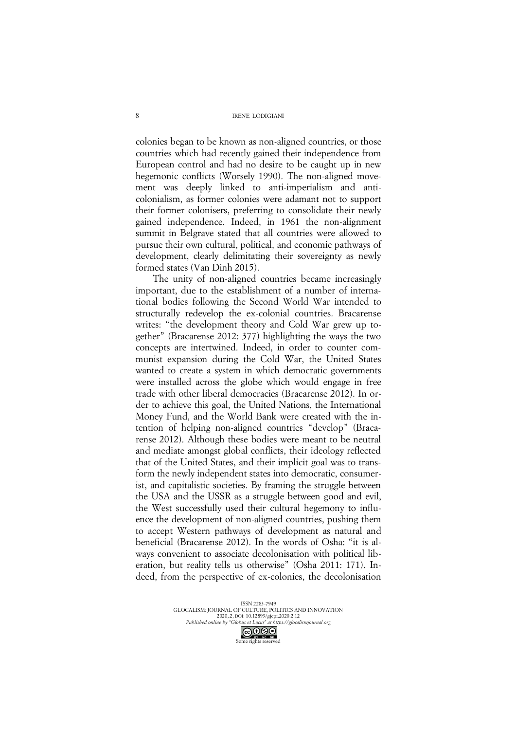colonies began to be known as non-aligned countries, or those countries which had recently gained their independence from European control and had no desire to be caught up in new hegemonic conflicts (Worsely 1990). The non-aligned movement was deeply linked to anti-imperialism and anticolonialism, as former colonies were adamant not to support their former colonisers, preferring to consolidate their newly gained independence. Indeed, in 1961 the non-alignment summit in Belgrave stated that all countries were allowed to pursue their own cultural, political, and economic pathways of development, clearly delimitating their sovereignty as newly formed states (Van Dinh 2015).

The unity of non-aligned countries became increasingly important, due to the establishment of a number of international bodies following the Second World War intended to structurally redevelop the ex-colonial countries. Bracarense writes: "the development theory and Cold War grew up together" (Bracarense 2012: 377) highlighting the ways the two concepts are intertwined. Indeed, in order to counter communist expansion during the Cold War, the United States wanted to create a system in which democratic governments were installed across the globe which would engage in free trade with other liberal democracies (Bracarense 2012). In order to achieve this goal, the United Nations, the International Money Fund, and the World Bank were created with the intention of helping non-aligned countries "develop" (Bracarense 2012). Although these bodies were meant to be neutral and mediate amongst global conflicts, their ideology reflected that of the United States, and their implicit goal was to transform the newly independent states into democratic, consumerist, and capitalistic societies. By framing the struggle between the USA and the USSR as a struggle between good and evil, the West successfully used their cultural hegemony to influence the development of non-aligned countries, pushing them to accept Western pathways of development as natural and beneficial (Bracarense 2012). In the words of Osha: "it is always convenient to associate decolonisation with political liberation, but reality tells us otherwise" (Osha 2011: 171). Indeed, from the perspective of ex-colonies, the decolonisation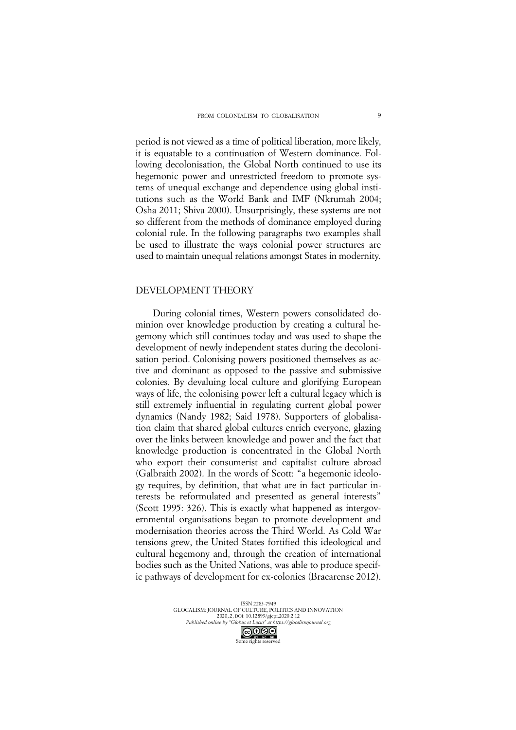period is not viewed as a time of political liberation, more likely, it is equatable to a continuation of Western dominance. Following decolonisation, the Global North continued to use its hegemonic power and unrestricted freedom to promote systems of unequal exchange and dependence using global institutions such as the World Bank and IMF (Nkrumah 2004; Osha 2011; Shiva 2000). Unsurprisingly, these systems are not so different from the methods of dominance employed during colonial rule. In the following paragraphs two examples shall be used to illustrate the ways colonial power structures are used to maintain unequal relations amongst States in modernity.

#### DEVELOPMENT THEORY

During colonial times, Western powers consolidated dominion over knowledge production by creating a cultural hegemony which still continues today and was used to shape the development of newly independent states during the decolonisation period. Colonising powers positioned themselves as active and dominant as opposed to the passive and submissive colonies. By devaluing local culture and glorifying European ways of life, the colonising power left a cultural legacy which is still extremely influential in regulating current global power dynamics (Nandy 1982; Said 1978). Supporters of globalisation claim that shared global cultures enrich everyone, glazing over the links between knowledge and power and the fact that knowledge production is concentrated in the Global North who export their consumerist and capitalist culture abroad (Galbraith 2002). In the words of Scott: "a hegemonic ideology requires, by definition, that what are in fact particular interests be reformulated and presented as general interests" (Scott 1995: 326). This is exactly what happened as intergovernmental organisations began to promote development and modernisation theories across the Third World. As Cold War tensions grew, the United States fortified this ideological and cultural hegemony and, through the creation of international bodies such as the United Nations, was able to produce specific pathways of development for ex-colonies (Bracarense 2012).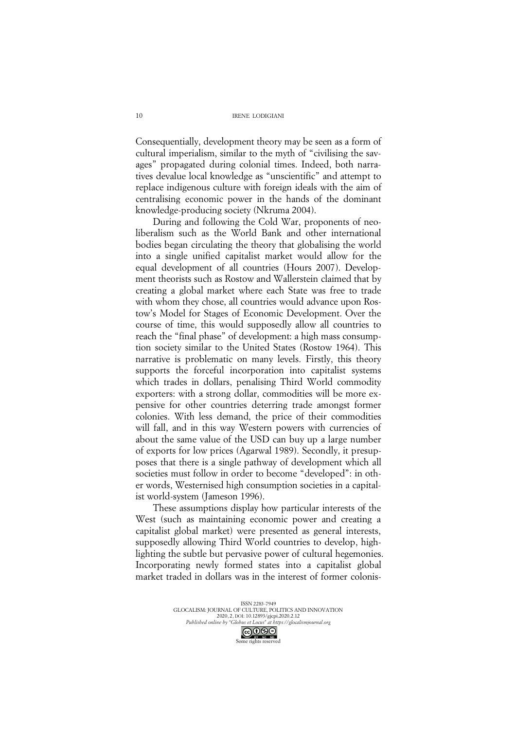Consequentially, development theory may be seen as a form of cultural imperialism, similar to the myth of "civilising the savages" propagated during colonial times. Indeed, both narratives devalue local knowledge as "unscientific" and attempt to replace indigenous culture with foreign ideals with the aim of centralising economic power in the hands of the dominant knowledge-producing society (Nkruma 2004).

During and following the Cold War, proponents of neoliberalism such as the World Bank and other international bodies began circulating the theory that globalising the world into a single unified capitalist market would allow for the equal development of all countries (Hours 2007). Development theorists such as Rostow and Wallerstein claimed that by creating a global market where each State was free to trade with whom they chose, all countries would advance upon Rostow's Model for Stages of Economic Development. Over the course of time, this would supposedly allow all countries to reach the "final phase" of development: a high mass consumption society similar to the United States (Rostow 1964). This narrative is problematic on many levels. Firstly, this theory supports the forceful incorporation into capitalist systems which trades in dollars, penalising Third World commodity exporters: with a strong dollar, commodities will be more expensive for other countries deterring trade amongst former colonies. With less demand, the price of their commodities will fall, and in this way Western powers with currencies of about the same value of the USD can buy up a large number of exports for low prices (Agarwal 1989). Secondly, it presupposes that there is a single pathway of development which all societies must follow in order to become "developed": in other words, Westernised high consumption societies in a capitalist world-system (Jameson 1996).

These assumptions display how particular interests of the West (such as maintaining economic power and creating a capitalist global market) were presented as general interests, supposedly allowing Third World countries to develop, highlighting the subtle but pervasive power of cultural hegemonies. Incorporating newly formed states into a capitalist global market traded in dollars was in the interest of former colonis-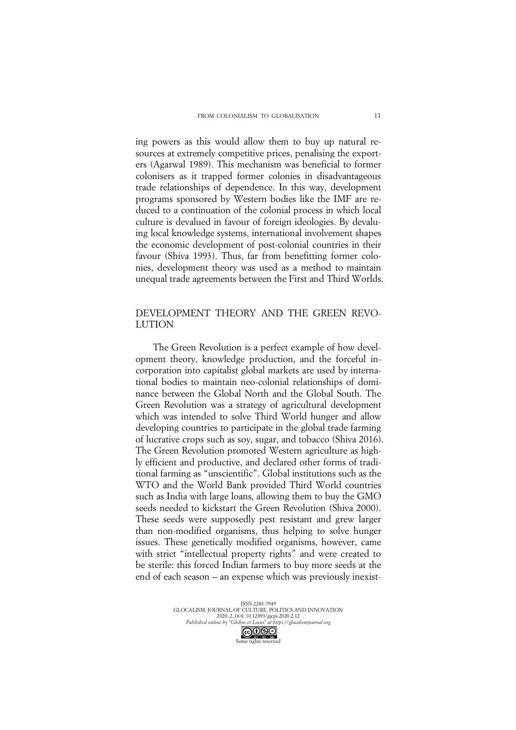ing powers as this would allow them to buy up natural resources at extremely competitive prices, penalising the exporters (Agarwal 1989). This mechanism was beneficial to former colonisers as it trapped former colonies in disadvantageous trade relationships of dependence. In this way, development programs sponsored by Western bodies like the IMF are reduced to a continuation of the colonial process in which local culture is devalued in favour of foreign ideologies. By devaluing local knowledge systems, international involvement shapes the economic development of post-colonial countries in their favour (Shiva 1993). Thus, far from benefitting former colonies, development theory was used as a method to maintain unequal trade agreements between the First and Third Worlds.

# DEVELOPMENT THEORY AND THE GREEN REVO-LUTION

The Green Revolution is a perfect example of how development theory, knowledge production, and the forceful incorporation into capitalist global markets are used by international bodies to maintain neo-colonial relationships of dominance between the Global North and the Global South. The Green Revolution was a strategy of agricultural development which was intended to solve Third World hunger and allow developing countries to participate in the global trade farming of lucrative crops such as soy, sugar, and tobacco (Shiva 2016). The Green Revolution promoted Western agriculture as highly efficient and productive, and declared other forms of traditional farming as "unscientific". Global institutions such as the WTO and the World Bank provided Third World countries such as India with large loans, allowing them to buy the GMO seeds needed to kickstart the Green Revolution (Shiva 2000). These seeds were supposedly pest resistant and grew larger than non-modified organisms, thus helping to solve hunger issues. These genetically modified organisms, however, came with strict "intellectual property rights" and were created to be sterile: this forced Indian farmers to buy more seeds at the end of each season – an expense which was previously inexist-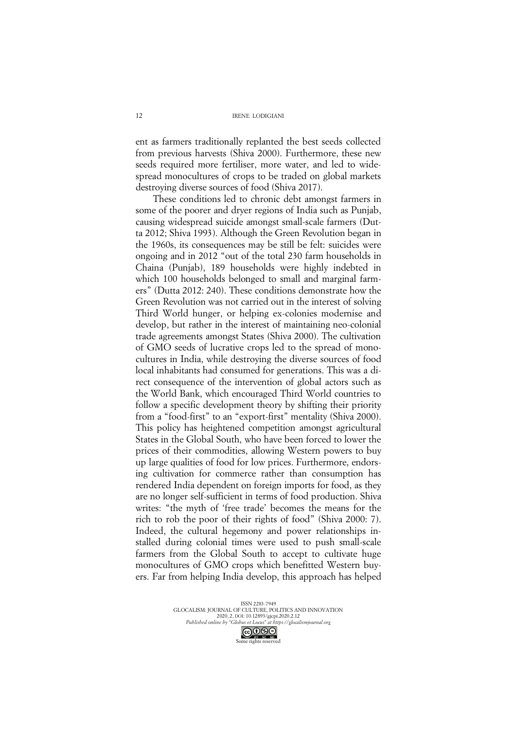ent as farmers traditionally replanted the best seeds collected from previous harvests (Shiva 2000). Furthermore, these new seeds required more fertiliser, more water, and led to widespread monocultures of crops to be traded on global markets destroying diverse sources of food (Shiva 2017).

These conditions led to chronic debt amongst farmers in some of the poorer and dryer regions of India such as Punjab, causing widespread suicide amongst small-scale farmers (Dutta 2012; Shiva 1993). Although the Green Revolution began in the 1960s, its consequences may be still be felt: suicides were ongoing and in 2012 "out of the total 230 farm households in Chaina (Punjab), 189 households were highly indebted in which 100 households belonged to small and marginal farmers" (Dutta 2012: 240). These conditions demonstrate how the Green Revolution was not carried out in the interest of solving Third World hunger, or helping ex-colonies modernise and develop, but rather in the interest of maintaining neo-colonial trade agreements amongst States (Shiva 2000). The cultivation of GMO seeds of lucrative crops led to the spread of monocultures in India, while destroying the diverse sources of food local inhabitants had consumed for generations. This was a direct consequence of the intervention of global actors such as the World Bank, which encouraged Third World countries to follow a specific development theory by shifting their priority from a "food-first" to an "export-first" mentality (Shiva 2000). This policy has heightened competition amongst agricultural States in the Global South, who have been forced to lower the prices of their commodities, allowing Western powers to buy up large qualities of food for low prices. Furthermore, endorsing cultivation for commerce rather than consumption has rendered India dependent on foreign imports for food, as they are no longer self-sufficient in terms of food production. Shiva writes: "the myth of 'free trade' becomes the means for the rich to rob the poor of their rights of food" (Shiva 2000: 7). Indeed, the cultural hegemony and power relationships installed during colonial times were used to push small-scale farmers from the Global South to accept to cultivate huge monocultures of GMO crops which benefitted Western buyers. Far from helping India develop, this approach has helped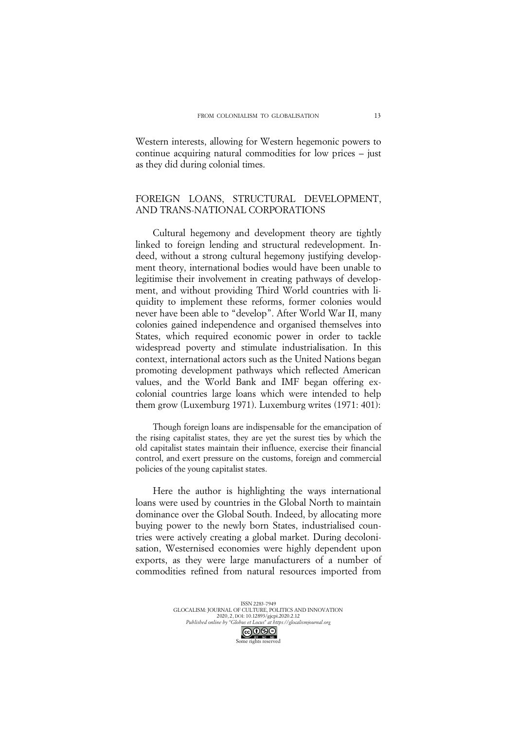Western interests, allowing for Western hegemonic powers to continue acquiring natural commodities for low prices – just as they did during colonial times.

# FOREIGN LOANS, STRUCTURAL DEVELOPMENT, AND TRANS-NATIONAL CORPORATIONS

Cultural hegemony and development theory are tightly linked to foreign lending and structural redevelopment. Indeed, without a strong cultural hegemony justifying development theory, international bodies would have been unable to legitimise their involvement in creating pathways of development, and without providing Third World countries with liquidity to implement these reforms, former colonies would never have been able to "develop". After World War II, many colonies gained independence and organised themselves into States, which required economic power in order to tackle widespread poverty and stimulate industrialisation. In this context, international actors such as the United Nations began promoting development pathways which reflected American values, and the World Bank and IMF began offering excolonial countries large loans which were intended to help them grow (Luxemburg 1971). Luxemburg writes (1971: 401):

Though foreign loans are indispensable for the emancipation of the rising capitalist states, they are yet the surest ties by which the old capitalist states maintain their influence, exercise their financial control, and exert pressure on the customs, foreign and commercial policies of the young capitalist states.

Here the author is highlighting the ways international loans were used by countries in the Global North to maintain dominance over the Global South. Indeed, by allocating more buying power to the newly born States, industrialised countries were actively creating a global market. During decolonisation, Westernised economies were highly dependent upon exports, as they were large manufacturers of a number of commodities refined from natural resources imported from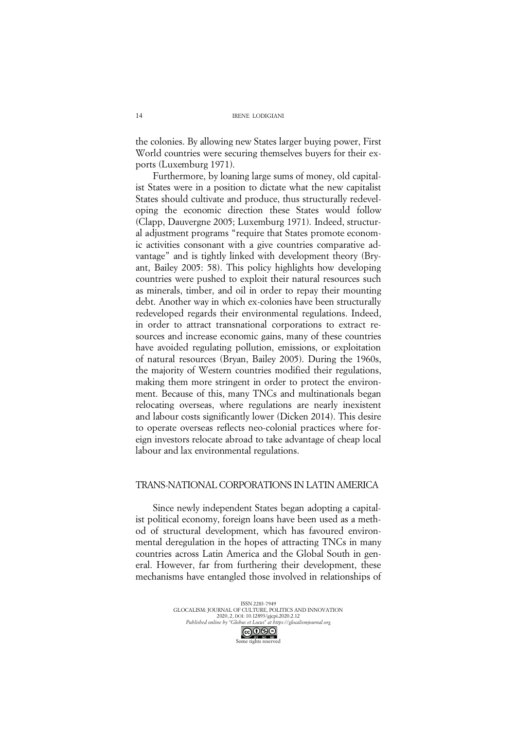the colonies. By allowing new States larger buying power, First World countries were securing themselves buyers for their exports (Luxemburg 1971).

Furthermore, by loaning large sums of money, old capitalist States were in a position to dictate what the new capitalist States should cultivate and produce, thus structurally redeveloping the economic direction these States would follow (Clapp, Dauvergne 2005; Luxemburg 1971). Indeed, structural adjustment programs "require that States promote economic activities consonant with a give countries comparative advantage" and is tightly linked with development theory (Bryant, Bailey 2005: 58). This policy highlights how developing countries were pushed to exploit their natural resources such as minerals, timber, and oil in order to repay their mounting debt. Another way in which ex-colonies have been structurally redeveloped regards their environmental regulations. Indeed, in order to attract transnational corporations to extract resources and increase economic gains, many of these countries have avoided regulating pollution, emissions, or exploitation of natural resources (Bryan, Bailey 2005). During the 1960s, the majority of Western countries modified their regulations, making them more stringent in order to protect the environment. Because of this, many TNCs and multinationals began relocating overseas, where regulations are nearly inexistent and labour costs significantly lower (Dicken 2014). This desire to operate overseas reflects neo-colonial practices where foreign investors relocate abroad to take advantage of cheap local labour and lax environmental regulations.

## TRANS-NATIONAL CORPORATIONS IN LATIN AMERICA

Since newly independent States began adopting a capitalist political economy, foreign loans have been used as a method of structural development, which has favoured environmental deregulation in the hopes of attracting TNCs in many countries across Latin America and the Global South in general. However, far from furthering their development, these mechanisms have entangled those involved in relationships of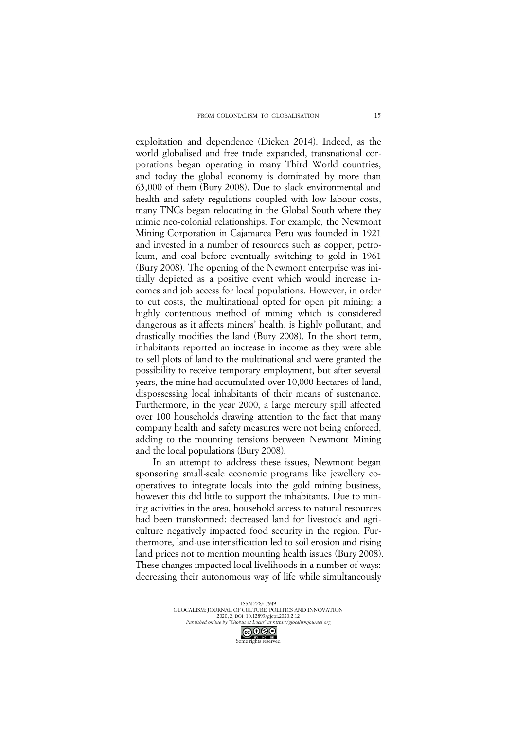exploitation and dependence (Dicken 2014). Indeed, as the world globalised and free trade expanded, transnational corporations began operating in many Third World countries, and today the global economy is dominated by more than 63,000 of them (Bury 2008). Due to slack environmental and health and safety regulations coupled with low labour costs, many TNCs began relocating in the Global South where they mimic neo-colonial relationships. For example, the Newmont Mining Corporation in Cajamarca Peru was founded in 1921 and invested in a number of resources such as copper, petroleum, and coal before eventually switching to gold in 1961 (Bury 2008). The opening of the Newmont enterprise was initially depicted as a positive event which would increase incomes and job access for local populations. However, in order to cut costs, the multinational opted for open pit mining: a highly contentious method of mining which is considered dangerous as it affects miners' health, is highly pollutant, and drastically modifies the land (Bury 2008). In the short term, inhabitants reported an increase in income as they were able to sell plots of land to the multinational and were granted the possibility to receive temporary employment, but after several years, the mine had accumulated over 10,000 hectares of land, dispossessing local inhabitants of their means of sustenance. Furthermore, in the year 2000, a large mercury spill affected over 100 households drawing attention to the fact that many company health and safety measures were not being enforced, adding to the mounting tensions between Newmont Mining and the local populations (Bury 2008).

In an attempt to address these issues, Newmont began sponsoring small-scale economic programs like jewellery cooperatives to integrate locals into the gold mining business, however this did little to support the inhabitants. Due to mining activities in the area, household access to natural resources had been transformed: decreased land for livestock and agriculture negatively impacted food security in the region. Furthermore, land-use intensification led to soil erosion and rising land prices not to mention mounting health issues (Bury 2008). These changes impacted local livelihoods in a number of ways: decreasing their autonomous way of life while simultaneously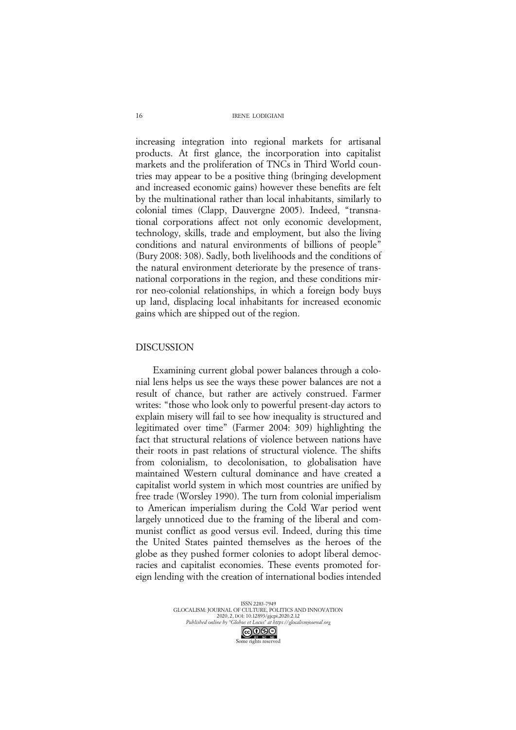increasing integration into regional markets for artisanal products. At first glance, the incorporation into capitalist markets and the proliferation of TNCs in Third World countries may appear to be a positive thing (bringing development and increased economic gains) however these benefits are felt by the multinational rather than local inhabitants, similarly to colonial times (Clapp, Dauvergne 2005). Indeed, "transnational corporations affect not only economic development, technology, skills, trade and employment, but also the living conditions and natural environments of billions of people" (Bury 2008: 308). Sadly, both livelihoods and the conditions of the natural environment deteriorate by the presence of transnational corporations in the region, and these conditions mirror neo-colonial relationships, in which a foreign body buys up land, displacing local inhabitants for increased economic gains which are shipped out of the region.

## DISCUSSION

Examining current global power balances through a colonial lens helps us see the ways these power balances are not a result of chance, but rather are actively construed. Farmer writes: "those who look only to powerful present-day actors to explain misery will fail to see how inequality is structured and legitimated over time" (Farmer 2004: 309) highlighting the fact that structural relations of violence between nations have their roots in past relations of structural violence. The shifts from colonialism, to decolonisation, to globalisation have maintained Western cultural dominance and have created a capitalist world system in which most countries are unified by free trade (Worsley 1990). The turn from colonial imperialism to American imperialism during the Cold War period went largely unnoticed due to the framing of the liberal and communist conflict as good versus evil. Indeed, during this time the United States painted themselves as the heroes of the globe as they pushed former colonies to adopt liberal democracies and capitalist economies. These events promoted foreign lending with the creation of international bodies intended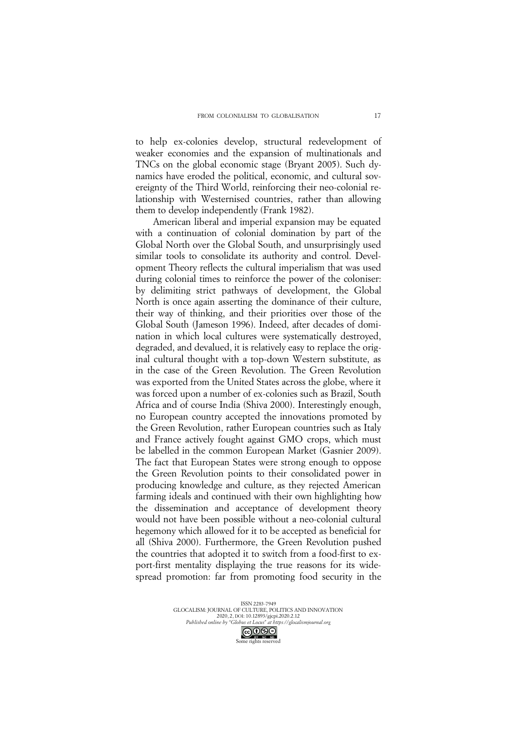to help ex-colonies develop, structural redevelopment of weaker economies and the expansion of multinationals and TNCs on the global economic stage (Bryant 2005). Such dynamics have eroded the political, economic, and cultural sovereignty of the Third World, reinforcing their neo-colonial relationship with Westernised countries, rather than allowing them to develop independently (Frank 1982).

American liberal and imperial expansion may be equated with a continuation of colonial domination by part of the Global North over the Global South, and unsurprisingly used similar tools to consolidate its authority and control. Development Theory reflects the cultural imperialism that was used during colonial times to reinforce the power of the coloniser: by delimiting strict pathways of development, the Global North is once again asserting the dominance of their culture, their way of thinking, and their priorities over those of the Global South (Jameson 1996). Indeed, after decades of domination in which local cultures were systematically destroyed, degraded, and devalued, it is relatively easy to replace the original cultural thought with a top-down Western substitute, as in the case of the Green Revolution. The Green Revolution was exported from the United States across the globe, where it was forced upon a number of ex-colonies such as Brazil, South Africa and of course India (Shiva 2000). Interestingly enough, no European country accepted the innovations promoted by the Green Revolution, rather European countries such as Italy and France actively fought against GMO crops, which must be labelled in the common European Market (Gasnier 2009). The fact that European States were strong enough to oppose the Green Revolution points to their consolidated power in producing knowledge and culture, as they rejected American farming ideals and continued with their own highlighting how the dissemination and acceptance of development theory would not have been possible without a neo-colonial cultural hegemony which allowed for it to be accepted as beneficial for all (Shiva 2000). Furthermore, the Green Revolution pushed the countries that adopted it to switch from a food-first to export-first mentality displaying the true reasons for its widespread promotion: far from promoting food security in the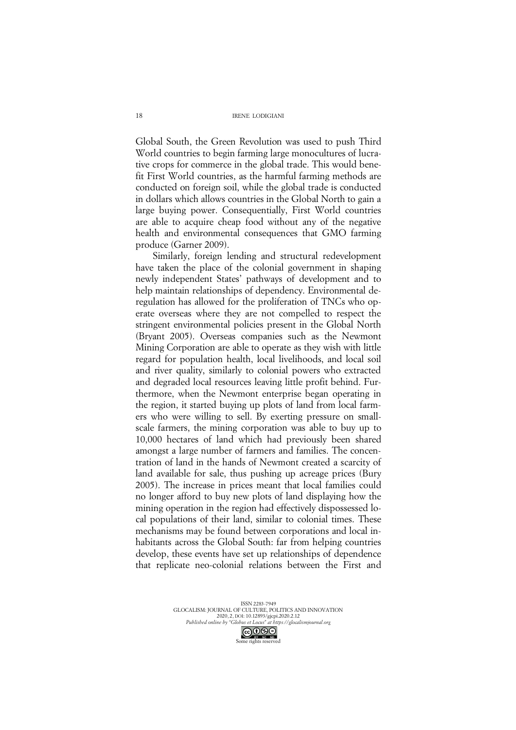Global South, the Green Revolution was used to push Third World countries to begin farming large monocultures of lucrative crops for commerce in the global trade. This would benefit First World countries, as the harmful farming methods are conducted on foreign soil, while the global trade is conducted in dollars which allows countries in the Global North to gain a large buying power. Consequentially, First World countries are able to acquire cheap food without any of the negative health and environmental consequences that GMO farming produce (Garner 2009).

Similarly, foreign lending and structural redevelopment have taken the place of the colonial government in shaping newly independent States' pathways of development and to help maintain relationships of dependency. Environmental deregulation has allowed for the proliferation of TNCs who operate overseas where they are not compelled to respect the stringent environmental policies present in the Global North (Bryant 2005). Overseas companies such as the Newmont Mining Corporation are able to operate as they wish with little regard for population health, local livelihoods, and local soil and river quality, similarly to colonial powers who extracted and degraded local resources leaving little profit behind. Furthermore, when the Newmont enterprise began operating in the region, it started buying up plots of land from local farmers who were willing to sell. By exerting pressure on smallscale farmers, the mining corporation was able to buy up to 10,000 hectares of land which had previously been shared amongst a large number of farmers and families. The concentration of land in the hands of Newmont created a scarcity of land available for sale, thus pushing up acreage prices (Bury 2005). The increase in prices meant that local families could no longer afford to buy new plots of land displaying how the mining operation in the region had effectively dispossessed local populations of their land, similar to colonial times. These mechanisms may be found between corporations and local inhabitants across the Global South: far from helping countries develop, these events have set up relationships of dependence that replicate neo-colonial relations between the First and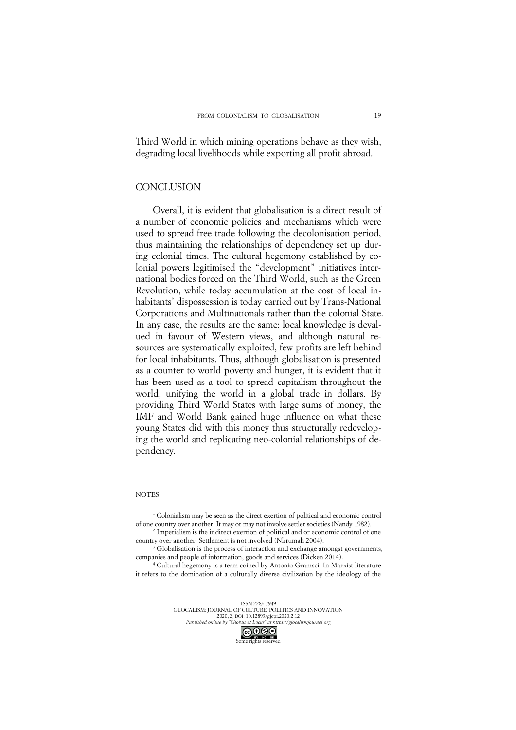Third World in which mining operations behave as they wish, degrading local livelihoods while exporting all profit abroad.

#### **CONCLUSION**

Overall, it is evident that globalisation is a direct result of a number of economic policies and mechanisms which were used to spread free trade following the decolonisation period, thus maintaining the relationships of dependency set up during colonial times. The cultural hegemony established by colonial powers legitimised the "development" initiatives international bodies forced on the Third World, such as the Green Revolution, while today accumulation at the cost of local inhabitants' dispossession is today carried out by Trans-National Corporations and Multinationals rather than the colonial State. In any case, the results are the same: local knowledge is devalued in favour of Western views, and although natural resources are systematically exploited, few profits are left behind for local inhabitants. Thus, although globalisation is presented as a counter to world poverty and hunger, it is evident that it has been used as a tool to spread capitalism throughout the world, unifying the world in a global trade in dollars. By providing Third World States with large sums of money, the IMF and World Bank gained huge influence on what these young States did with this money thus structurally redeveloping the world and replicating neo-colonial relationships of dependency.

#### **NOTES**

<sup>1</sup> Colonialism may be seen as the direct exertion of political and economic control of one country over another. It may or may not involve settler societies (Nandy 1982). <sup>2</sup> Imperialism is the indirect exertion of political and or economic control of one

country over another. Settlement is not involved (Nkrumah 2004).

<sup>3</sup> Globalisation is the process of interaction and exchange amongst governments, companies and people of information, goods and services (Dicken 2014).

<sup>4</sup> Cultural hegemony is a term coined by Antonio Gramsci. In Marxist literature it refers to the domination of a culturally diverse civilization by the ideology of the

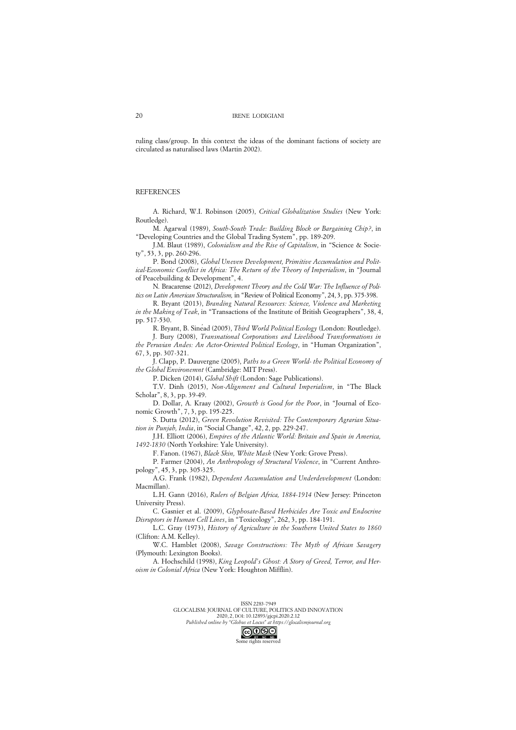ruling class/group. In this context the ideas of the dominant factions of society are circulated as naturalised laws (Martin 2002).

#### **REFERENCES**

A. Richard, W.I. Robinson (2005), *Critical Globalization Studies* (New York: Routledge).

M. Agarwal (1989), *South-South Trade: Building Block or Bargaining Chip?*, in "Developing Countries and the Global Trading System", pp. 189-209.

J.M. Blaut (1989), *Colonialism and the Rise of Capitalism*, in "Science & Society", 53, 3, pp. 260-296.

P. Bond (2008), *Global Uneven Development, Primitive Accumulation and Political-Economic Conflict in Africa: The Return of the Theory of Imperialism*, in "Journal of Peacebuilding & Development", 4.

N. Bracarense (2012), *Development Theory and the Cold War: The Influence of Politics on Latin American Structuralism,* in "Review of Political Economy", 24, 3, pp. 375-398.

R. Bryant (2013), *Branding Natural Resources: Science, Violence and Marketing in the Making of Teak*, in "Transactions of the Institute of British Geographers", 38, 4, pp. 517-530.

R. Bryant, B. Sinéad (2005), *Third World Political Ecology* (London: Routledge).

J. Bury (2008), *Transnational Corporations and Livelihood Transformations in the Peruvian Andes: An Actor-Oriented Political Ecology*, in "Human Organization", 67, 3, pp. 307-321.

J. Clapp, P. Dauvergne (2005), *Paths to a Green World- the Political Economy of the Global Environemnt* (Cambridge: MIT Press).

P. Dicken (2014), *Global Shift* (London: Sage Publications).

T.V. Dinh (2015), *Non-Alignment and Cultural Imperialism*, in "The Black Scholar", 8, 3, pp. 39-49.

D. Dollar, A. Kraay (2002), *Growth is Good for the Poor*, in "Journal of Economic Growth", 7, 3, pp. 195-225.

S. Dutta (2012), *Green Revolution Revisited: The Contemporary Agrarian Situation in Punjab, India*, in "Social Change", 42, 2, pp. 229-247.

J.H. Elliott (2006), *Empires of the Atlantic World: Britain and Spain in America, 1492-1830* (North Yorkshire: Yale University).

F. Fanon. (1967), *Black Skin, White Mask* (New York: Grove Press).

P. Farmer (2004), *An Anthropology of Structural Violence*, in "Current Anthropology", 45, 3, pp. 305-325.

A.G. Frank (1982), *Dependent Accumulation and Underdevelopment* (London: Macmillan).

L.H. Gann (2016), *Rulers of Belgian Africa, 1884-1914* (New Jersey: Princeton University Press).

C. Gasnier et al. (2009), *Glyphosate-Based Herbicides Are Toxic and Endocrine Disruptors in Human Cell Lines*, in "Toxicology", 262, 3, pp. 184-191.

L.C. Gray (1973), *History of Agriculture in the Southern United States to 1860* (Clifton: A.M. Kelley).

W.C. Hamblet (2008), *Savage Constructions: The Myth of African Savagery* (Plymouth: Lexington Books).

A. Hochschild (1998), *King Leopold's Ghost: A Story of Greed, Terror, and Heroism in Colonial Africa* (New York: Houghton Mifflin).